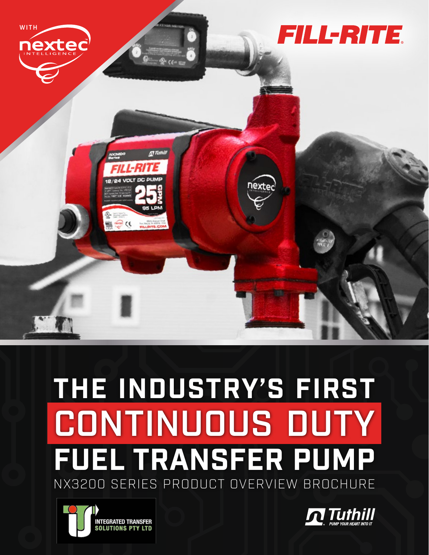

# **THE INDUSTRY'S FIRST** CONTINUOUS DUTY **FUEL TRANSFER PUMP** NX3200 SERIES PRODUCT OVERVIEW BROCHURE